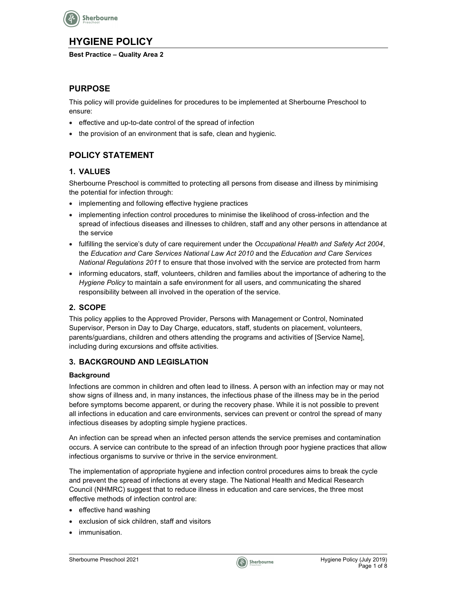

# HYGIENE POLICY

#### Best Practice – Quality Area 2

## PURPOSE

This policy will provide guidelines for procedures to be implemented at Sherbourne Preschool to ensure:

- effective and up-to-date control of the spread of infection
- the provision of an environment that is safe, clean and hygienic.

## POLICY STATEMENT

## 1. VALUES

Sherbourne Preschool is committed to protecting all persons from disease and illness by minimising the potential for infection through:

- implementing and following effective hygiene practices
- implementing infection control procedures to minimise the likelihood of cross-infection and the spread of infectious diseases and illnesses to children, staff and any other persons in attendance at the service
- fulfilling the service's duty of care requirement under the Occupational Health and Safety Act 2004, the Education and Care Services National Law Act 2010 and the Education and Care Services National Regulations 2011 to ensure that those involved with the service are protected from harm
- informing educators, staff, volunteers, children and families about the importance of adhering to the Hygiene Policy to maintain a safe environment for all users, and communicating the shared responsibility between all involved in the operation of the service.

## 2. SCOPE

This policy applies to the Approved Provider, Persons with Management or Control, Nominated Supervisor, Person in Day to Day Charge, educators, staff, students on placement, volunteers, parents/guardians, children and others attending the programs and activities of [Service Name], including during excursions and offsite activities.

#### 3. BACKGROUND AND LEGISLATION

#### **Background**

Infections are common in children and often lead to illness. A person with an infection may or may not show signs of illness and, in many instances, the infectious phase of the illness may be in the period before symptoms become apparent, or during the recovery phase. While it is not possible to prevent all infections in education and care environments, services can prevent or control the spread of many infectious diseases by adopting simple hygiene practices.

An infection can be spread when an infected person attends the service premises and contamination occurs. A service can contribute to the spread of an infection through poor hygiene practices that allow infectious organisms to survive or thrive in the service environment.

The implementation of appropriate hygiene and infection control procedures aims to break the cycle and prevent the spread of infections at every stage. The National Health and Medical Research Council (NHMRC) suggest that to reduce illness in education and care services, the three most effective methods of infection control are:

- effective hand washing
- exclusion of sick children, staff and visitors
- immunisation.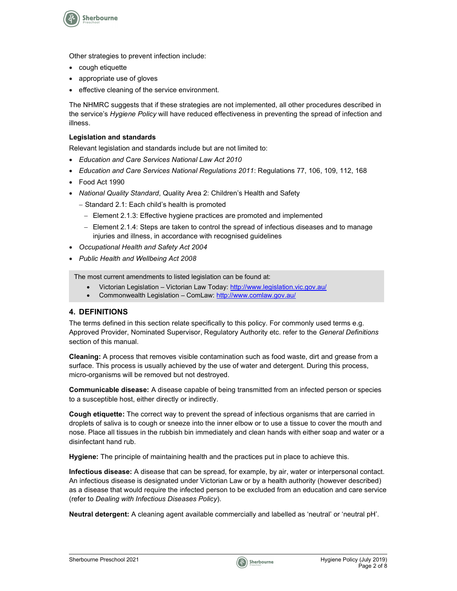

Other strategies to prevent infection include:

- cough etiquette
- appropriate use of gloves
- effective cleaning of the service environment.

The NHMRC suggests that if these strategies are not implemented, all other procedures described in the service's Hygiene Policy will have reduced effectiveness in preventing the spread of infection and illness.

#### Legislation and standards

Relevant legislation and standards include but are not limited to:

- Education and Care Services National Law Act 2010
- Education and Care Services National Regulations 2011: Regulations 77, 106, 109, 112, 168
- Food Act 1990
- National Quality Standard, Quality Area 2: Children's Health and Safety
	- Standard 2.1: Each child's health is promoted
		- Element 2.1.3: Effective hygiene practices are promoted and implemented
		- Element 2.1.4: Steps are taken to control the spread of infectious diseases and to manage injuries and illness, in accordance with recognised guidelines
- Occupational Health and Safety Act 2004
- Public Health and Wellbeing Act 2008

The most current amendments to listed legislation can be found at:

- Victorian Legislation Victorian Law Today: http://www.legislation.vic.gov.au/
- Commonwealth Legislation ComLaw: http://www.comlaw.gov.au/

#### 4. DEFINITIONS

The terms defined in this section relate specifically to this policy. For commonly used terms e.g. Approved Provider, Nominated Supervisor, Regulatory Authority etc. refer to the General Definitions section of this manual.

Cleaning: A process that removes visible contamination such as food waste, dirt and grease from a surface. This process is usually achieved by the use of water and detergent. During this process, micro-organisms will be removed but not destroyed.

Communicable disease: A disease capable of being transmitted from an infected person or species to a susceptible host, either directly or indirectly.

Cough etiquette: The correct way to prevent the spread of infectious organisms that are carried in droplets of saliva is to cough or sneeze into the inner elbow or to use a tissue to cover the mouth and nose. Place all tissues in the rubbish bin immediately and clean hands with either soap and water or a disinfectant hand rub.

Hygiene: The principle of maintaining health and the practices put in place to achieve this.

Infectious disease: A disease that can be spread, for example, by air, water or interpersonal contact. An infectious disease is designated under Victorian Law or by a health authority (however described) as a disease that would require the infected person to be excluded from an education and care service (refer to Dealing with Infectious Diseases Policy).

Neutral detergent: A cleaning agent available commercially and labelled as 'neutral' or 'neutral pH'.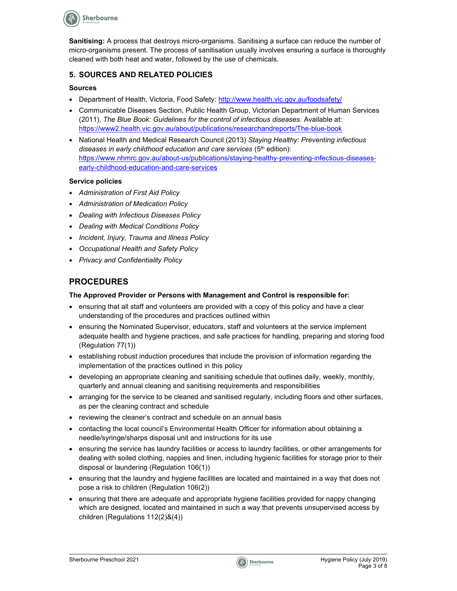

Sanitising: A process that destroys micro-organisms. Sanitising a surface can reduce the number of micro-organisms present. The process of sanitisation usually involves ensuring a surface is thoroughly cleaned with both heat and water, followed by the use of chemicals.

### 5. SOURCES AND RELATED POLICIES

#### Sources

- Department of Health, Victoria, Food Safety: http://www.health.vic.gov.au/foodsafety/
- Communicable Diseases Section, Public Health Group, Victorian Department of Human Services (2011), The Blue Book: Guidelines for the control of infectious diseases. Available at: https://www2.health.vic.gov.au/about/publications/researchandreports/The-blue-book
- National Health and Medical Research Council (2013) Staying Healthy: Preventing infectious diseases in early childhood education and care services  $(5<sup>th</sup>$  edition): https://www.nhmrc.gov.au/about-us/publications/staying-healthy-preventing-infectious-diseasesearly-childhood-education-and-care-services

#### Service policies

- Administration of First Aid Policy
- Administration of Medication Policy
- Dealing with Infectious Diseases Policy
- Dealing with Medical Conditions Policy
- Incident, Injury, Trauma and Illness Policy
- Occupational Health and Safety Policy
- Privacy and Confidentiality Policy

## PROCEDURES

#### The Approved Provider or Persons with Management and Control is responsible for:

- ensuring that all staff and volunteers are provided with a copy of this policy and have a clear understanding of the procedures and practices outlined within
- ensuring the Nominated Supervisor, educators, staff and volunteers at the service implement adequate health and hygiene practices, and safe practices for handling, preparing and storing food (Regulation 77(1))
- establishing robust induction procedures that include the provision of information regarding the implementation of the practices outlined in this policy
- developing an appropriate cleaning and sanitising schedule that outlines daily, weekly, monthly, quarterly and annual cleaning and sanitising requirements and responsibilities
- arranging for the service to be cleaned and sanitised regularly, including floors and other surfaces, as per the cleaning contract and schedule
- reviewing the cleaner's contract and schedule on an annual basis
- contacting the local council's Environmental Health Officer for information about obtaining a needle/syringe/sharps disposal unit and instructions for its use
- ensuring the service has laundry facilities or access to laundry facilities, or other arrangements for dealing with soiled clothing, nappies and linen, including hygienic facilities for storage prior to their disposal or laundering (Regulation 106(1))
- ensuring that the laundry and hygiene facilities are located and maintained in a way that does not pose a risk to children (Regulation 106(2))
- ensuring that there are adequate and appropriate hygiene facilities provided for nappy changing which are designed, located and maintained in such a way that prevents unsupervised access by children (Regulations 112(2)&(4))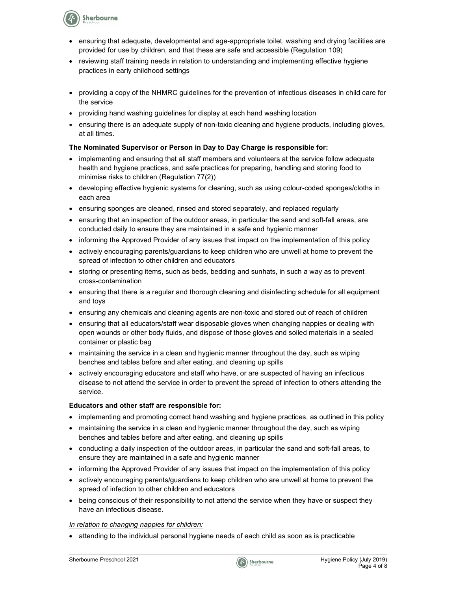**Sherbourne** 

- ensuring that adequate, developmental and age-appropriate toilet, washing and drying facilities are provided for use by children, and that these are safe and accessible (Regulation 109)
- reviewing staff training needs in relation to understanding and implementing effective hygiene practices in early childhood settings
- providing a copy of the NHMRC guidelines for the prevention of infectious diseases in child care for the service
- providing hand washing guidelines for display at each hand washing location
- ensuring there is an adequate supply of non-toxic cleaning and hygiene products, including gloves, at all times.

#### The Nominated Supervisor or Person in Day to Day Charge is responsible for:

- implementing and ensuring that all staff members and volunteers at the service follow adequate health and hygiene practices, and safe practices for preparing, handling and storing food to minimise risks to children (Regulation 77(2))
- developing effective hygienic systems for cleaning, such as using colour-coded sponges/cloths in each area
- ensuring sponges are cleaned, rinsed and stored separately, and replaced regularly
- ensuring that an inspection of the outdoor areas, in particular the sand and soft-fall areas, are conducted daily to ensure they are maintained in a safe and hygienic manner
- informing the Approved Provider of any issues that impact on the implementation of this policy
- actively encouraging parents/guardians to keep children who are unwell at home to prevent the spread of infection to other children and educators
- storing or presenting items, such as beds, bedding and sunhats, in such a way as to prevent cross-contamination
- ensuring that there is a regular and thorough cleaning and disinfecting schedule for all equipment and toys
- ensuring any chemicals and cleaning agents are non-toxic and stored out of reach of children
- ensuring that all educators/staff wear disposable gloves when changing nappies or dealing with open wounds or other body fluids, and dispose of those gloves and soiled materials in a sealed container or plastic bag
- maintaining the service in a clean and hygienic manner throughout the day, such as wiping benches and tables before and after eating, and cleaning up spills
- actively encouraging educators and staff who have, or are suspected of having an infectious disease to not attend the service in order to prevent the spread of infection to others attending the service.

#### Educators and other staff are responsible for:

- implementing and promoting correct hand washing and hygiene practices, as outlined in this policy
- maintaining the service in a clean and hygienic manner throughout the day, such as wiping benches and tables before and after eating, and cleaning up spills
- conducting a daily inspection of the outdoor areas, in particular the sand and soft-fall areas, to ensure they are maintained in a safe and hygienic manner
- informing the Approved Provider of any issues that impact on the implementation of this policy
- actively encouraging parents/guardians to keep children who are unwell at home to prevent the spread of infection to other children and educators
- being conscious of their responsibility to not attend the service when they have or suspect they have an infectious disease.

#### In relation to changing nappies for children:

attending to the individual personal hygiene needs of each child as soon as is practicable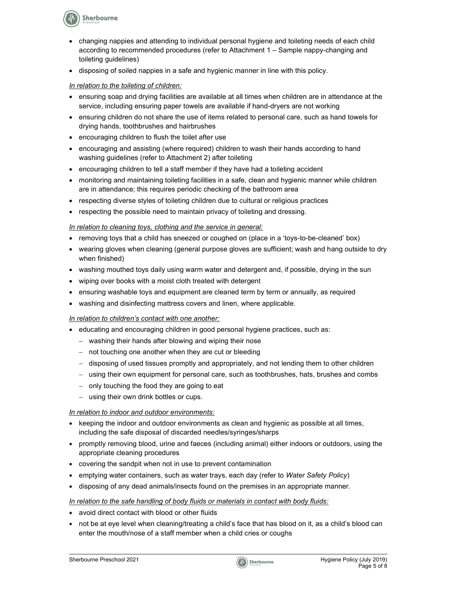**Sherbourne** 

- changing nappies and attending to individual personal hygiene and toileting needs of each child according to recommended procedures (refer to Attachment 1 – Sample nappy-changing and toileting guidelines)
- disposing of soiled nappies in a safe and hygienic manner in line with this policy.

#### In relation to the toileting of children:

- ensuring soap and drying facilities are available at all times when children are in attendance at the service, including ensuring paper towels are available if hand-dryers are not working
- ensuring children do not share the use of items related to personal care, such as hand towels for drying hands, toothbrushes and hairbrushes
- encouraging children to flush the toilet after use
- encouraging and assisting (where required) children to wash their hands according to hand washing guidelines (refer to Attachment 2) after toileting
- encouraging children to tell a staff member if they have had a toileting accident
- monitoring and maintaining toileting facilities in a safe, clean and hygienic manner while children are in attendance; this requires periodic checking of the bathroom area
- respecting diverse styles of toileting children due to cultural or religious practices
- respecting the possible need to maintain privacy of toileting and dressing.

#### In relation to cleaning toys, clothing and the service in general:

- removing toys that a child has sneezed or coughed on (place in a 'toys-to-be-cleaned' box)
- wearing gloves when cleaning (general purpose gloves are sufficient; wash and hang outside to dry when finished)
- washing mouthed toys daily using warm water and detergent and, if possible, drying in the sun
- wiping over books with a moist cloth treated with detergent
- ensuring washable toys and equipment are cleaned term by term or annually, as required
- washing and disinfecting mattress covers and linen, where applicable.

#### In relation to children's contact with one another:

- educating and encouraging children in good personal hygiene practices, such as:
	- washing their hands after blowing and wiping their nose
	- not touching one another when they are cut or bleeding
	- disposing of used tissues promptly and appropriately, and not lending them to other children
	- using their own equipment for personal care, such as toothbrushes, hats, brushes and combs
	- only touching the food they are going to eat
	- using their own drink bottles or cups.

#### In relation to indoor and outdoor environments:

- $\bullet$  keeping the indoor and outdoor environments as clean and hygienic as possible at all times, including the safe disposal of discarded needles/syringes/sharps
- promptly removing blood, urine and faeces (including animal) either indoors or outdoors, using the appropriate cleaning procedures
- covering the sandpit when not in use to prevent contamination
- emptying water containers, such as water trays, each day (refer to Water Safety Policy)
- disposing of any dead animals/insects found on the premises in an appropriate manner.

#### In relation to the safe handling of body fluids or materials in contact with body fluids:

- avoid direct contact with blood or other fluids
- not be at eye level when cleaning/treating a child's face that has blood on it, as a child's blood can enter the mouth/nose of a staff member when a child cries or coughs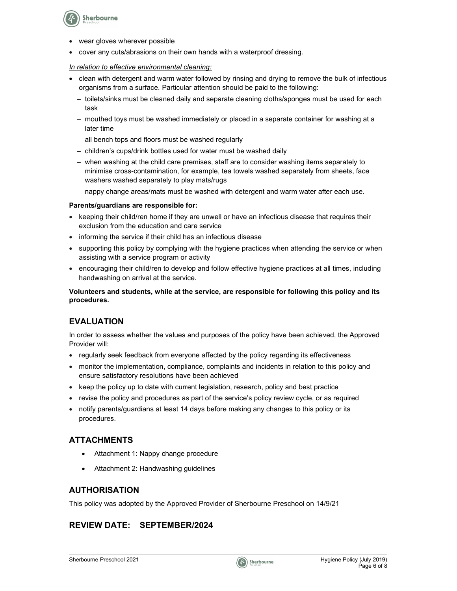

- wear gloves wherever possible
- cover any cuts/abrasions on their own hands with a waterproof dressing.

#### In relation to effective environmental cleaning:

- clean with detergent and warm water followed by rinsing and drying to remove the bulk of infectious organisms from a surface. Particular attention should be paid to the following:
	- toilets/sinks must be cleaned daily and separate cleaning cloths/sponges must be used for each task
	- mouthed toys must be washed immediately or placed in a separate container for washing at a later time
	- all bench tops and floors must be washed regularly
	- children's cups/drink bottles used for water must be washed daily
	- when washing at the child care premises, staff are to consider washing items separately to minimise cross-contamination, for example, tea towels washed separately from sheets, face washers washed separately to play mats/rugs
	- nappy change areas/mats must be washed with detergent and warm water after each use.

#### Parents/guardians are responsible for:

- keeping their child/ren home if they are unwell or have an infectious disease that requires their exclusion from the education and care service
- informing the service if their child has an infectious disease
- supporting this policy by complying with the hygiene practices when attending the service or when assisting with a service program or activity
- encouraging their child/ren to develop and follow effective hygiene practices at all times, including handwashing on arrival at the service.

Volunteers and students, while at the service, are responsible for following this policy and its procedures.

## EVALUATION

In order to assess whether the values and purposes of the policy have been achieved, the Approved Provider will:

- regularly seek feedback from everyone affected by the policy regarding its effectiveness
- monitor the implementation, compliance, complaints and incidents in relation to this policy and ensure satisfactory resolutions have been achieved
- keep the policy up to date with current legislation, research, policy and best practice
- revise the policy and procedures as part of the service's policy review cycle, or as required
- notify parents/guardians at least 14 days before making any changes to this policy or its procedures.

## ATTACHMENTS

- Attachment 1: Nappy change procedure
- Attachment 2: Handwashing guidelines

#### AUTHORISATION

This policy was adopted by the Approved Provider of Sherbourne Preschool on 14/9/21

## REVIEW DATE: SEPTEMBER/2024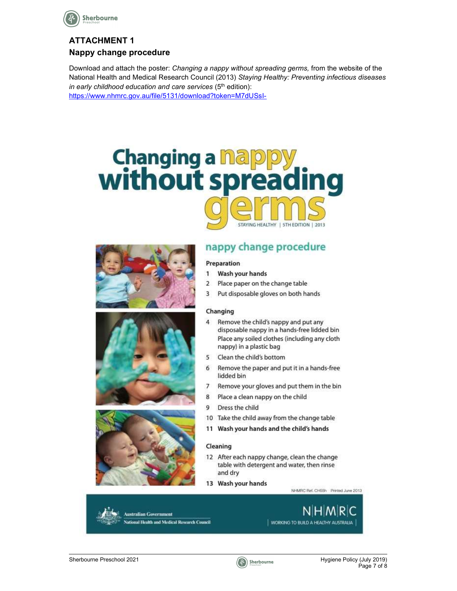

# ATTACHMENT 1 Nappy change procedure

Download and attach the poster: Changing a nappy without spreading germs, from the website of the National Health and Medical Research Council (2013) Staying Healthy: Preventing infectious diseases in early childhood education and care services  $(5<sup>th</sup>$  edition):

https://www.nhmrc.gov.au/file/5131/download?token=M7dUSsI-









# nappy change procedure

#### Preparation

- 1 Wash your hands
- Place paper on the change table  $\overline{2}$
- 3 Put disposable gloves on both hands

#### Changing

- $\overline{4}$ Remove the child's nappy and put any disposable nappy in a hands-free lidded bin Place any soiled clothes (including any cloth nappy) in a plastic bag
- 5 Clean the child's bottom
- 6 Remove the paper and put it in a hands-free lidded bin
- $\overline{7}$ Remove your gloves and put them in the bin
- 8 Place a clean nappy on the child
- 9 Dress the child
- 10 Take the child away from the change table
- 11 Wash your hands and the child's hands

#### Cleaning

- 12 After each nappy change, clean the change table with detergent and water, then rinse and dry
- 13 Wash your hands

NHMRC Ref. CH55h Printed June 2013

**Australian Government** al Health and Medical Research Council

NHMRIC WORKING TO BUILD A HEALTHY AUSTRALIA